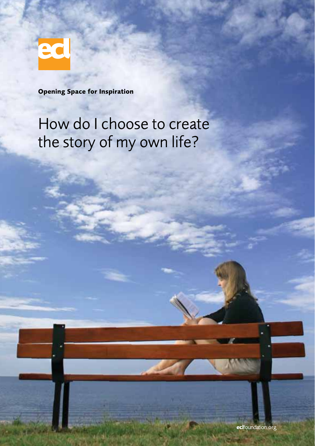

**Opening Space for Inspiration**

## How do I choose to create the story of my own life?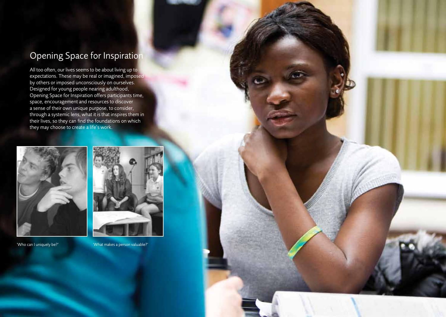### **Opening Space for Inspiration**

All too often, our lives seems to be about living up to expectations. These may be real or imagined, imposed by others or imposed unconsciously on ourselves. Designed for young people nearing adulthood, Opening Space for Inspiration offers participants time, space, encouragement and resources to discover a sense of their own unique purpose, to consider, through a systemic lens, what it is that inspires them in their lives, so they can find the foundations on which they may choose to create a life's work.



'Who can I uniquely be?' 'What makes a person valuable?'



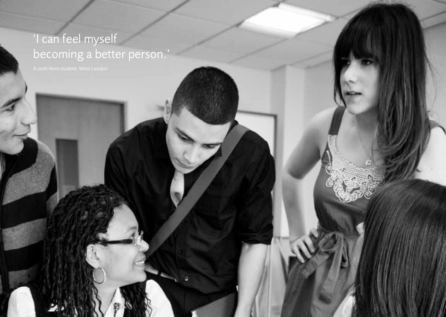# 'I can feel myself becoming a better person.'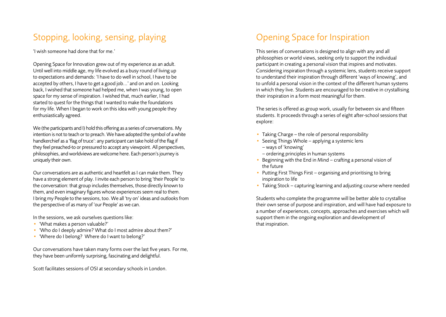### Stopping, looking, sensing, playing

'I wish someone had done that for me.'

Opening Space for Innovation grew out of my experience as an adult. Until well into middle age, my life evolved as a busy round of living up to expectations and demands: 'I have to do well in school, I have to be accepted by others, I have to get a good job...' and on and on. Looking back, I wished that someone had helped me, when I was young, to open space for my sense of inspiration. I wished that, much earlier, I had started to quest for the things that I wanted to make the foundations for my life. When I began to work on this idea with young people they enthusiastically agreed.

We (the participants and I) hold this offering as a series of conversations. My intention is not to teach or to preach. We have adopted the symbol of a white handkerchief as a 'flag of truce': any participant can take hold of the flag if they feel preached-to or pressured to accept any viewpoint. All perspectives, philosophies, and worldviews are welcome here. Each person's journey is uniquely their own.

Our conversations are as authentic and heartfelt as I can make them. They have a strong element of play. I invite each person to bring 'their People' to the conversation: that group includes themselves, those directly known to them, and even imaginary figures whose experiences seem real to them. I bring my People to the sessions, too. We all 'try on' ideas and outlooks from the perspective of as many of 'our People' as we can.

In the sessions, we ask ourselves questions like:

- 'What makes a person valuable?'
- 'Who do I deeply admire? What do I most admire about them?'
- 'Where do I belong? Where do I want to belong?'

Our conversations have taken many forms over the last five years. For me, they have been uniformly surprising, fascinating and delightful.

Scott facilitates sessions of OSI at secondary schools in London.

#### Opening Space for Inspiration

This series of conversations is designed to align with any and all philosophies or world views, seeking only to support the individual participant in creating a personal vision that inspires and motivates. Considering inspiration through a systemic lens, students receive support to understand their inspiration through different 'ways of knowing', and to unfold a personal vision in the context of the different human systems in which they live. Students are encouraged to be creative in crystallising their inspiration in a form most meaningful for them.

The series is offered as group work, usually for between six and fifteen students. It proceeds through a series of eight after-school sessions that explore:

- Taking Charge the role of personal responsibility
- Seeing Things Whole applying a systemic lens
	- ways of 'knowing'
	- ordering principles in human systems
- Beginning with the End in Mind crafting a personal vision of the future
- Putting First Things First organising and prioritising to bring inspiration to life
- Taking Stock capturing learning and adjusting course where needed

Students who complete the programme will be better able to crystallise their own sense of purpose and inspiration, and will have had exposure to a number of experiences, concepts, approaches and exercises which will support them in the ongoing exploration and development of that inspiration.